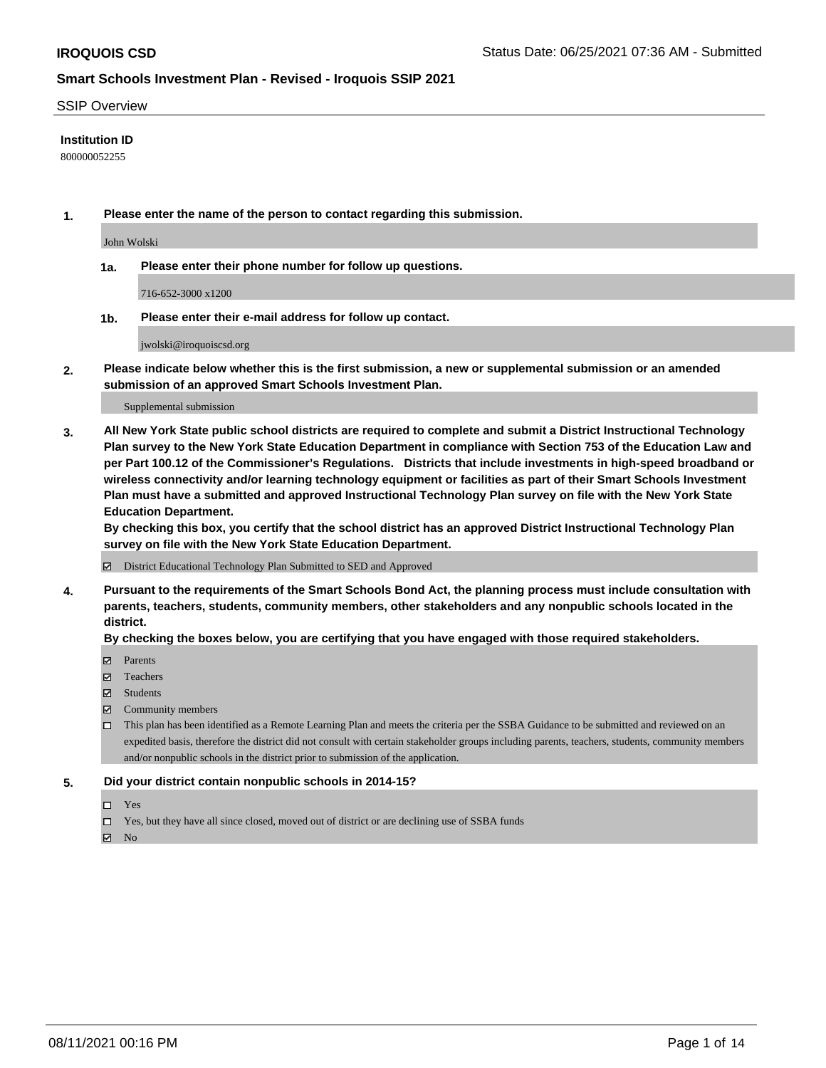#### SSIP Overview

#### **Institution ID**

800000052255

**1. Please enter the name of the person to contact regarding this submission.**

John Wolski

**1a. Please enter their phone number for follow up questions.**

716-652-3000 x1200

**1b. Please enter their e-mail address for follow up contact.**

jwolski@iroquoiscsd.org

**2. Please indicate below whether this is the first submission, a new or supplemental submission or an amended submission of an approved Smart Schools Investment Plan.**

#### Supplemental submission

**3. All New York State public school districts are required to complete and submit a District Instructional Technology Plan survey to the New York State Education Department in compliance with Section 753 of the Education Law and per Part 100.12 of the Commissioner's Regulations. Districts that include investments in high-speed broadband or wireless connectivity and/or learning technology equipment or facilities as part of their Smart Schools Investment Plan must have a submitted and approved Instructional Technology Plan survey on file with the New York State Education Department.** 

**By checking this box, you certify that the school district has an approved District Instructional Technology Plan survey on file with the New York State Education Department.**

District Educational Technology Plan Submitted to SED and Approved

**4. Pursuant to the requirements of the Smart Schools Bond Act, the planning process must include consultation with parents, teachers, students, community members, other stakeholders and any nonpublic schools located in the district.** 

#### **By checking the boxes below, you are certifying that you have engaged with those required stakeholders.**

- **Parents**
- Teachers
- Students
- $\boxtimes$  Community members
- This plan has been identified as a Remote Learning Plan and meets the criteria per the SSBA Guidance to be submitted and reviewed on an expedited basis, therefore the district did not consult with certain stakeholder groups including parents, teachers, students, community members and/or nonpublic schools in the district prior to submission of the application.
- **5. Did your district contain nonpublic schools in 2014-15?**
	- □ Yes
	- □ Yes, but they have all since closed, moved out of district or are declining use of SSBA funds

 $M$  No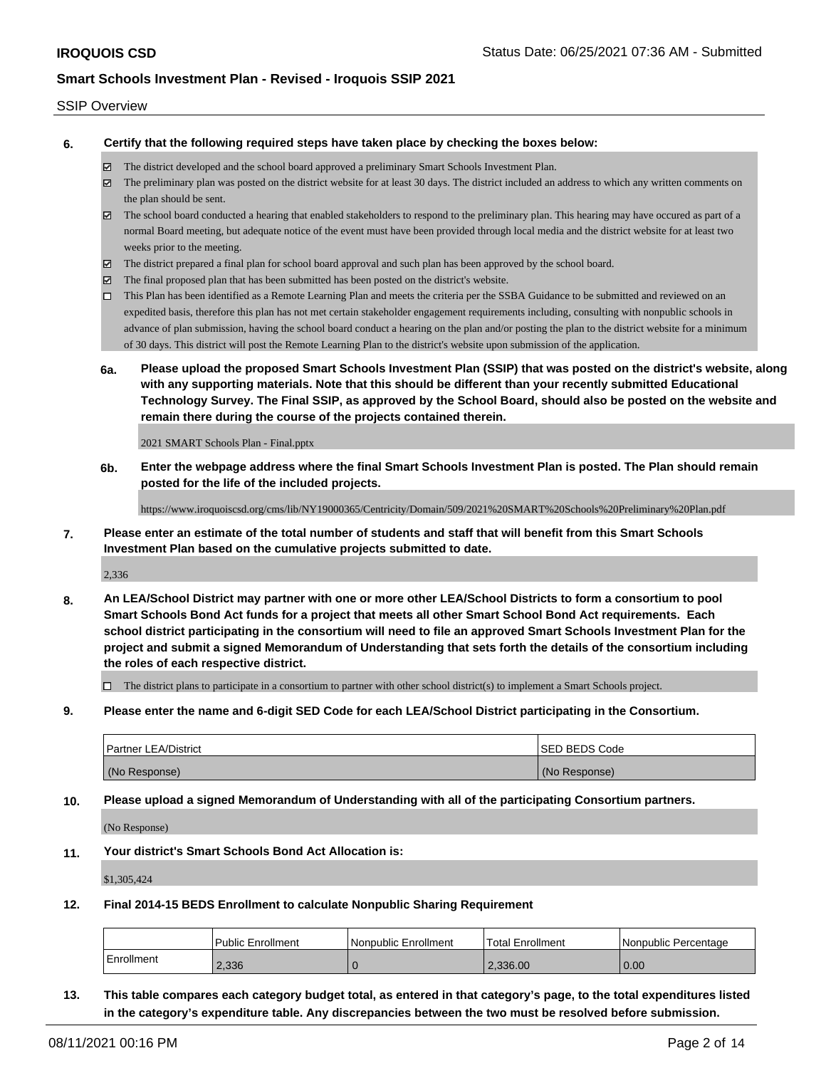#### SSIP Overview

**6. Certify that the following required steps have taken place by checking the boxes below:**

- The district developed and the school board approved a preliminary Smart Schools Investment Plan.
- The preliminary plan was posted on the district website for at least 30 days. The district included an address to which any written comments on the plan should be sent.
- $\boxtimes$  The school board conducted a hearing that enabled stakeholders to respond to the preliminary plan. This hearing may have occured as part of a normal Board meeting, but adequate notice of the event must have been provided through local media and the district website for at least two weeks prior to the meeting.
- The district prepared a final plan for school board approval and such plan has been approved by the school board.
- $\boxtimes$  The final proposed plan that has been submitted has been posted on the district's website.
- This Plan has been identified as a Remote Learning Plan and meets the criteria per the SSBA Guidance to be submitted and reviewed on an expedited basis, therefore this plan has not met certain stakeholder engagement requirements including, consulting with nonpublic schools in advance of plan submission, having the school board conduct a hearing on the plan and/or posting the plan to the district website for a minimum of 30 days. This district will post the Remote Learning Plan to the district's website upon submission of the application.
- **6a. Please upload the proposed Smart Schools Investment Plan (SSIP) that was posted on the district's website, along with any supporting materials. Note that this should be different than your recently submitted Educational Technology Survey. The Final SSIP, as approved by the School Board, should also be posted on the website and remain there during the course of the projects contained therein.**

2021 SMART Schools Plan - Final.pptx

**6b. Enter the webpage address where the final Smart Schools Investment Plan is posted. The Plan should remain posted for the life of the included projects.**

https://www.iroquoiscsd.org/cms/lib/NY19000365/Centricity/Domain/509/2021%20SMART%20Schools%20Preliminary%20Plan.pdf

**7. Please enter an estimate of the total number of students and staff that will benefit from this Smart Schools Investment Plan based on the cumulative projects submitted to date.**

2,336

**8. An LEA/School District may partner with one or more other LEA/School Districts to form a consortium to pool Smart Schools Bond Act funds for a project that meets all other Smart School Bond Act requirements. Each school district participating in the consortium will need to file an approved Smart Schools Investment Plan for the project and submit a signed Memorandum of Understanding that sets forth the details of the consortium including the roles of each respective district.**

 $\Box$  The district plans to participate in a consortium to partner with other school district(s) to implement a Smart Schools project.

**9. Please enter the name and 6-digit SED Code for each LEA/School District participating in the Consortium.**

| <b>Partner LEA/District</b> | <b>ISED BEDS Code</b> |
|-----------------------------|-----------------------|
| (No Response)               | (No Response)         |

**10. Please upload a signed Memorandum of Understanding with all of the participating Consortium partners.**

(No Response)

**11. Your district's Smart Schools Bond Act Allocation is:**

\$1,305,424

**12. Final 2014-15 BEDS Enrollment to calculate Nonpublic Sharing Requirement**

|            | <b>Public Enrollment</b> | l Nonpublic Enrollment | 'Total Enrollment | I Nonpublic Percentage |
|------------|--------------------------|------------------------|-------------------|------------------------|
| Enrollment | 2.336                    |                        | 2.336.00          | 0.00                   |

**13. This table compares each category budget total, as entered in that category's page, to the total expenditures listed in the category's expenditure table. Any discrepancies between the two must be resolved before submission.**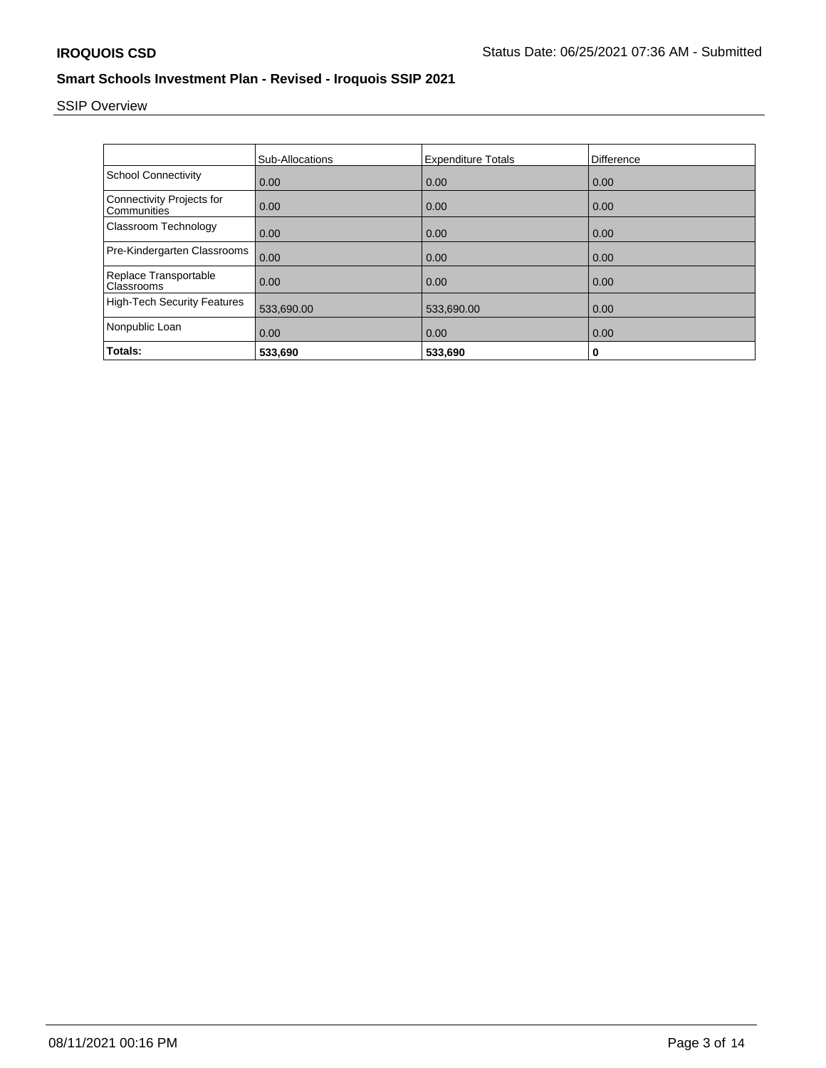# SSIP Overview

|                                                 | <b>Sub-Allocations</b> | <b>Expenditure Totals</b> | Difference |
|-------------------------------------------------|------------------------|---------------------------|------------|
| <b>School Connectivity</b>                      | 0.00                   | 0.00                      | 0.00       |
| <b>Connectivity Projects for</b><br>Communities | 0.00                   | 0.00                      | 0.00       |
| Classroom Technology                            | 0.00                   | 0.00                      | 0.00       |
| Pre-Kindergarten Classrooms                     | 0.00                   | 0.00                      | 0.00       |
| Replace Transportable<br>Classrooms             | 0.00                   | 0.00                      | 0.00       |
| <b>High-Tech Security Features</b>              | 533,690.00             | 533,690.00                | 0.00       |
| Nonpublic Loan                                  | 0.00                   | 0.00                      | 0.00       |
| Totals:                                         | 533,690                | 533,690                   | 0          |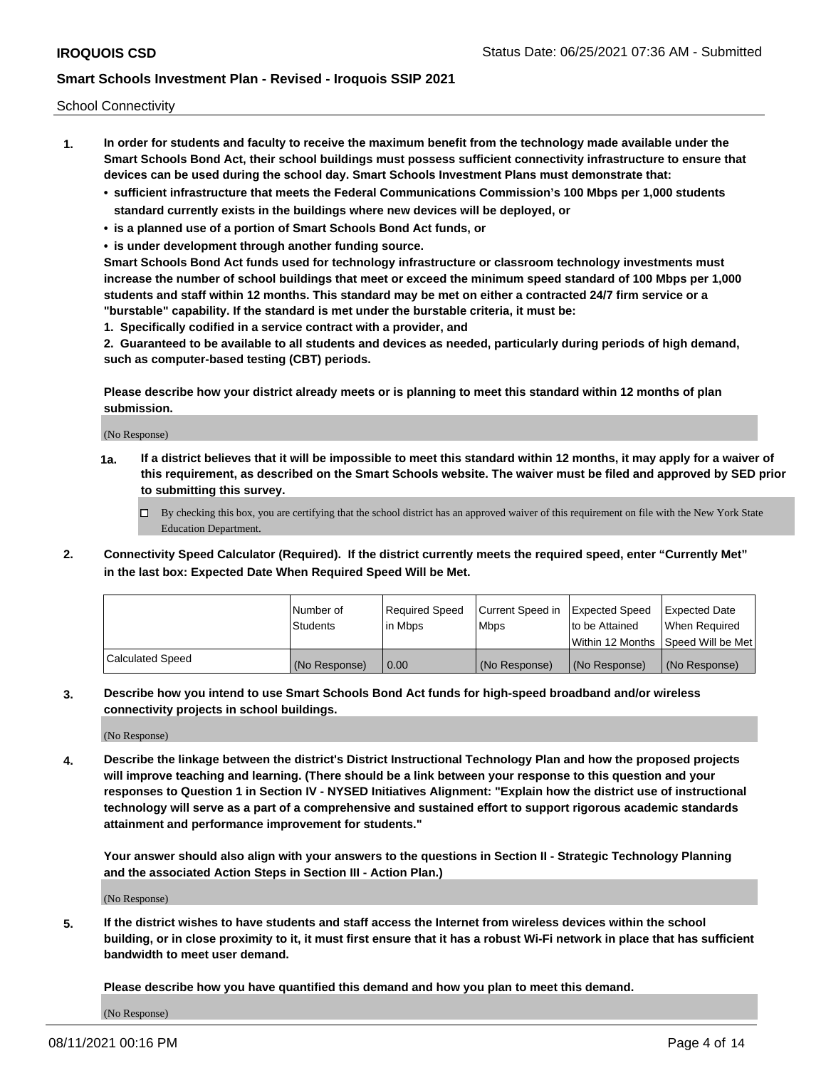School Connectivity

- **1. In order for students and faculty to receive the maximum benefit from the technology made available under the Smart Schools Bond Act, their school buildings must possess sufficient connectivity infrastructure to ensure that devices can be used during the school day. Smart Schools Investment Plans must demonstrate that:**
	- **• sufficient infrastructure that meets the Federal Communications Commission's 100 Mbps per 1,000 students standard currently exists in the buildings where new devices will be deployed, or**
	- **• is a planned use of a portion of Smart Schools Bond Act funds, or**
	- **• is under development through another funding source.**

**Smart Schools Bond Act funds used for technology infrastructure or classroom technology investments must increase the number of school buildings that meet or exceed the minimum speed standard of 100 Mbps per 1,000 students and staff within 12 months. This standard may be met on either a contracted 24/7 firm service or a "burstable" capability. If the standard is met under the burstable criteria, it must be:**

**1. Specifically codified in a service contract with a provider, and**

**2. Guaranteed to be available to all students and devices as needed, particularly during periods of high demand, such as computer-based testing (CBT) periods.**

**Please describe how your district already meets or is planning to meet this standard within 12 months of plan submission.**

(No Response)

**1a. If a district believes that it will be impossible to meet this standard within 12 months, it may apply for a waiver of this requirement, as described on the Smart Schools website. The waiver must be filed and approved by SED prior to submitting this survey.**

 $\Box$  By checking this box, you are certifying that the school district has an approved waiver of this requirement on file with the New York State Education Department.

**2. Connectivity Speed Calculator (Required). If the district currently meets the required speed, enter "Currently Met" in the last box: Expected Date When Required Speed Will be Met.**

|                  | l Number of     | Required Speed | Current Speed in | Expected Speed | Expected Date                           |
|------------------|-----------------|----------------|------------------|----------------|-----------------------------------------|
|                  | <b>Students</b> | In Mbps        | l Mbps           | to be Attained | When Required                           |
|                  |                 |                |                  |                | l Within 12 Months ISpeed Will be Met l |
| Calculated Speed | (No Response)   | 0.00           | (No Response)    | (No Response)  | (No Response)                           |

**3. Describe how you intend to use Smart Schools Bond Act funds for high-speed broadband and/or wireless connectivity projects in school buildings.**

(No Response)

**4. Describe the linkage between the district's District Instructional Technology Plan and how the proposed projects will improve teaching and learning. (There should be a link between your response to this question and your responses to Question 1 in Section IV - NYSED Initiatives Alignment: "Explain how the district use of instructional technology will serve as a part of a comprehensive and sustained effort to support rigorous academic standards attainment and performance improvement for students."** 

**Your answer should also align with your answers to the questions in Section II - Strategic Technology Planning and the associated Action Steps in Section III - Action Plan.)**

(No Response)

**5. If the district wishes to have students and staff access the Internet from wireless devices within the school building, or in close proximity to it, it must first ensure that it has a robust Wi-Fi network in place that has sufficient bandwidth to meet user demand.**

**Please describe how you have quantified this demand and how you plan to meet this demand.**

(No Response)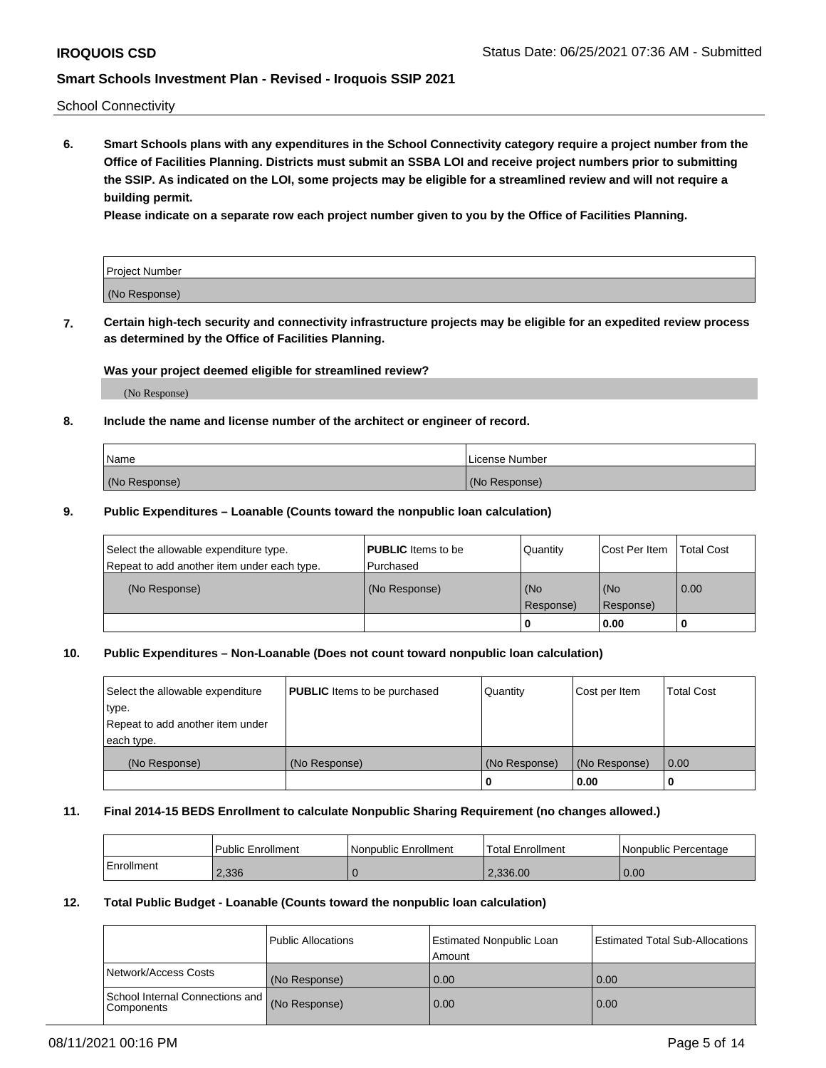School Connectivity

**6. Smart Schools plans with any expenditures in the School Connectivity category require a project number from the Office of Facilities Planning. Districts must submit an SSBA LOI and receive project numbers prior to submitting the SSIP. As indicated on the LOI, some projects may be eligible for a streamlined review and will not require a building permit.**

**Please indicate on a separate row each project number given to you by the Office of Facilities Planning.**

| Project Number |  |
|----------------|--|
| (No Response)  |  |

**7. Certain high-tech security and connectivity infrastructure projects may be eligible for an expedited review process as determined by the Office of Facilities Planning.**

#### **Was your project deemed eligible for streamlined review?**

(No Response)

### **8. Include the name and license number of the architect or engineer of record.**

| Name          | License Number |
|---------------|----------------|
| (No Response) | (No Response)  |

#### **9. Public Expenditures – Loanable (Counts toward the nonpublic loan calculation)**

| Select the allowable expenditure type.<br>Repeat to add another item under each type. | <b>PUBLIC</b> Items to be<br>l Purchased | Quantity         | l Cost Per Item  | <b>Total Cost</b> |
|---------------------------------------------------------------------------------------|------------------------------------------|------------------|------------------|-------------------|
| (No Response)                                                                         | (No Response)                            | (No<br>Response) | (No<br>Response) | 0.00              |
|                                                                                       |                                          | 0                | 0.00             |                   |

### **10. Public Expenditures – Non-Loanable (Does not count toward nonpublic loan calculation)**

| Select the allowable expenditure<br>type.      | <b>PUBLIC</b> Items to be purchased | Quantity      | Cost per Item | <b>Total Cost</b> |
|------------------------------------------------|-------------------------------------|---------------|---------------|-------------------|
| Repeat to add another item under<br>each type. |                                     |               |               |                   |
| (No Response)                                  | (No Response)                       | (No Response) | (No Response) | 0.00              |
|                                                |                                     |               | 0.00          |                   |

#### **11. Final 2014-15 BEDS Enrollment to calculate Nonpublic Sharing Requirement (no changes allowed.)**

|            | Public Enrollment | <b>Nonpublic Enrollment</b> | Total Enrollment | l Nonpublic Percentage |
|------------|-------------------|-----------------------------|------------------|------------------------|
| Enrollment | 2,336             |                             | 2.336.00         | 0.00                   |

#### **12. Total Public Budget - Loanable (Counts toward the nonpublic loan calculation)**

|                                                      | Public Allocations | <b>Estimated Nonpublic Loan</b><br>Amount | Estimated Total Sub-Allocations |
|------------------------------------------------------|--------------------|-------------------------------------------|---------------------------------|
| Network/Access Costs                                 | (No Response)      | 0.00                                      | 0.00                            |
| School Internal Connections and<br><b>Components</b> | (No Response)      | 0.00                                      | 0.00                            |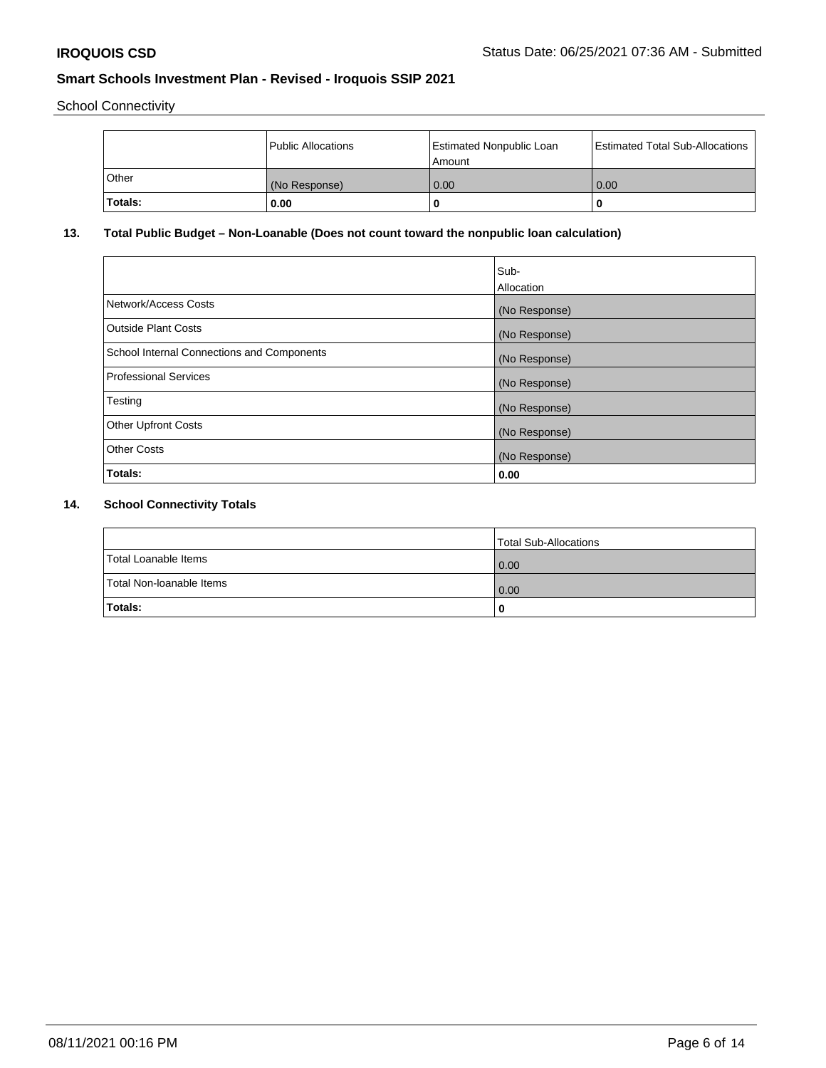School Connectivity

|         | Public Allocations | <b>Estimated Nonpublic Loan</b><br>Amount | <b>Estimated Total Sub-Allocations</b> |
|---------|--------------------|-------------------------------------------|----------------------------------------|
| Other   | (No Response)      | 0.00                                      | 0.00                                   |
| Totals: | 0.00               | τ                                         |                                        |

# **13. Total Public Budget – Non-Loanable (Does not count toward the nonpublic loan calculation)**

|                                                   | Sub-<br>Allocation |
|---------------------------------------------------|--------------------|
|                                                   |                    |
| Network/Access Costs                              | (No Response)      |
| <b>Outside Plant Costs</b>                        | (No Response)      |
| <b>School Internal Connections and Components</b> | (No Response)      |
| Professional Services                             | (No Response)      |
| Testing                                           | (No Response)      |
| <b>Other Upfront Costs</b>                        | (No Response)      |
| <b>Other Costs</b>                                | (No Response)      |
| <b>Totals:</b>                                    | 0.00               |

# **14. School Connectivity Totals**

|                          | Total Sub-Allocations |
|--------------------------|-----------------------|
| Total Loanable Items     | 0.00                  |
| Total Non-Ioanable Items | 0.00                  |
| Totals:                  | 0                     |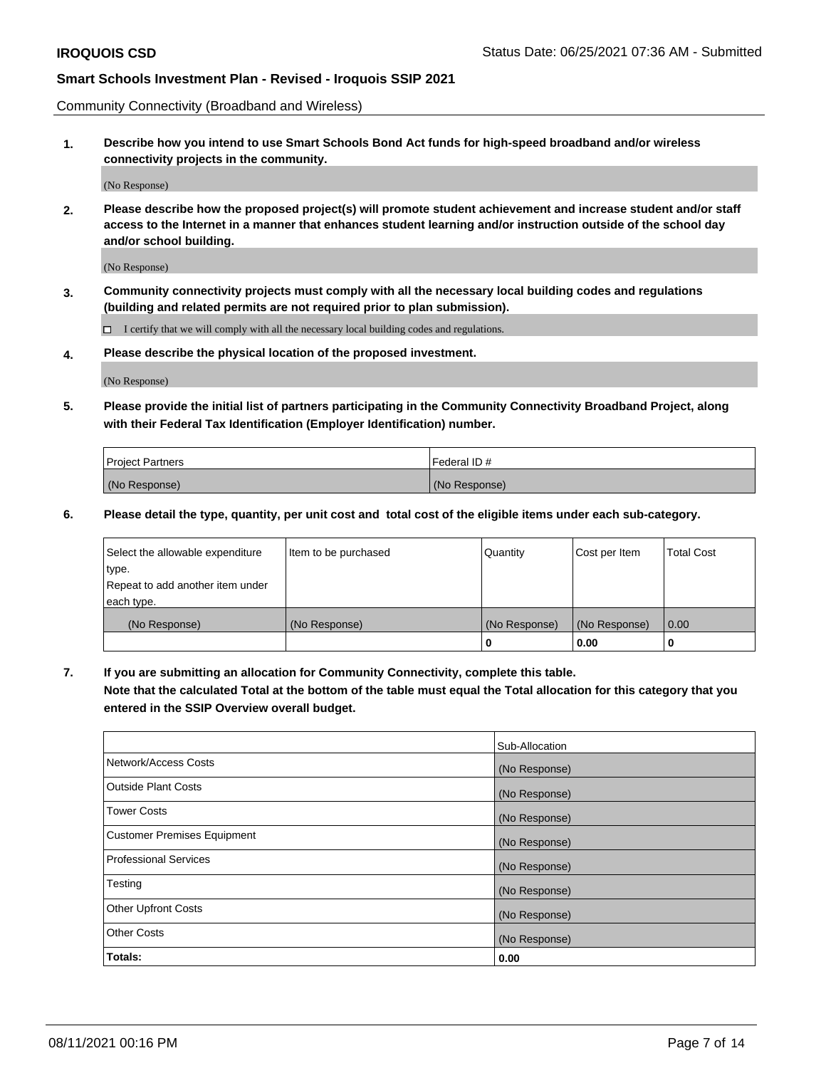Community Connectivity (Broadband and Wireless)

**1. Describe how you intend to use Smart Schools Bond Act funds for high-speed broadband and/or wireless connectivity projects in the community.**

(No Response)

**2. Please describe how the proposed project(s) will promote student achievement and increase student and/or staff access to the Internet in a manner that enhances student learning and/or instruction outside of the school day and/or school building.**

(No Response)

**3. Community connectivity projects must comply with all the necessary local building codes and regulations (building and related permits are not required prior to plan submission).**

 $\Box$  I certify that we will comply with all the necessary local building codes and regulations.

**4. Please describe the physical location of the proposed investment.**

(No Response)

**5. Please provide the initial list of partners participating in the Community Connectivity Broadband Project, along with their Federal Tax Identification (Employer Identification) number.**

| <b>Project Partners</b> | l Federal ID # |
|-------------------------|----------------|
| (No Response)           | (No Response)  |

**6. Please detail the type, quantity, per unit cost and total cost of the eligible items under each sub-category.**

| Select the allowable expenditure | Item to be purchased | Quantity      | Cost per Item | <b>Total Cost</b> |
|----------------------------------|----------------------|---------------|---------------|-------------------|
| type.                            |                      |               |               |                   |
| Repeat to add another item under |                      |               |               |                   |
| each type.                       |                      |               |               |                   |
| (No Response)                    | (No Response)        | (No Response) | (No Response) | 0.00              |
|                                  |                      | o             | 0.00          |                   |

**7. If you are submitting an allocation for Community Connectivity, complete this table.**

**Note that the calculated Total at the bottom of the table must equal the Total allocation for this category that you entered in the SSIP Overview overall budget.**

|                                    | Sub-Allocation |
|------------------------------------|----------------|
| Network/Access Costs               | (No Response)  |
| Outside Plant Costs                | (No Response)  |
| <b>Tower Costs</b>                 | (No Response)  |
| <b>Customer Premises Equipment</b> | (No Response)  |
| <b>Professional Services</b>       | (No Response)  |
| Testing                            | (No Response)  |
| <b>Other Upfront Costs</b>         | (No Response)  |
| <b>Other Costs</b>                 | (No Response)  |
| Totals:                            | 0.00           |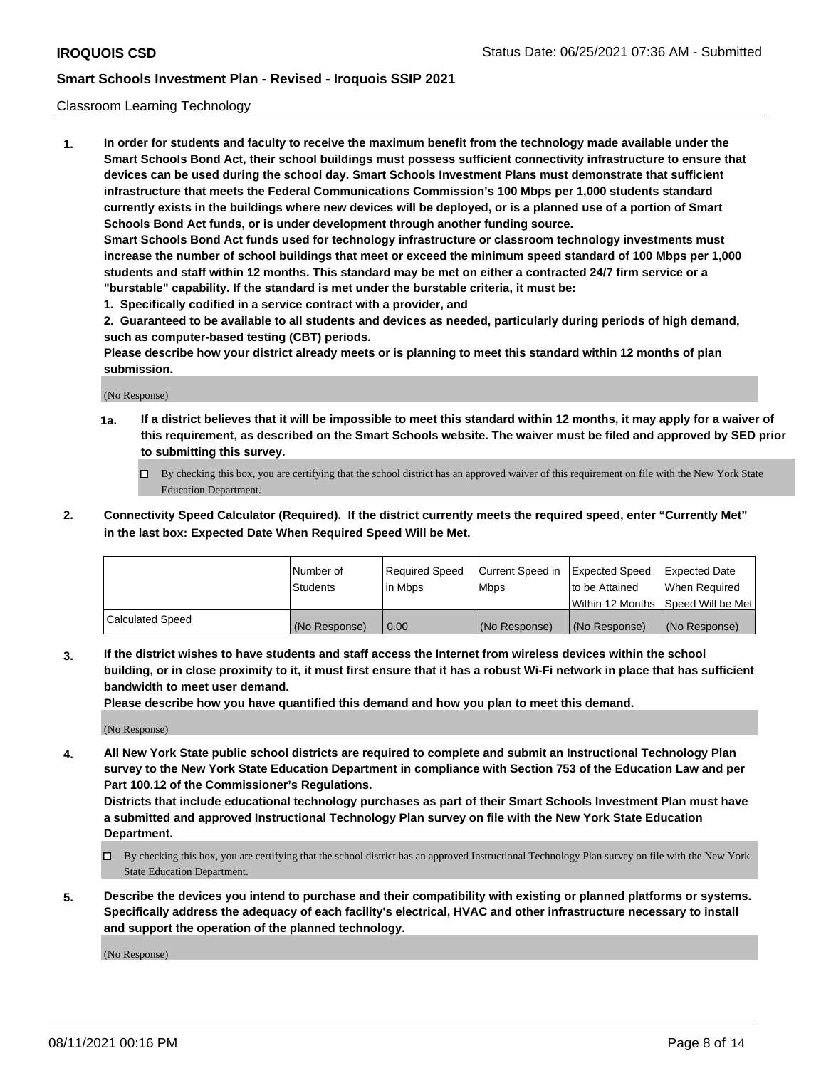#### Classroom Learning Technology

**1. In order for students and faculty to receive the maximum benefit from the technology made available under the Smart Schools Bond Act, their school buildings must possess sufficient connectivity infrastructure to ensure that devices can be used during the school day. Smart Schools Investment Plans must demonstrate that sufficient infrastructure that meets the Federal Communications Commission's 100 Mbps per 1,000 students standard currently exists in the buildings where new devices will be deployed, or is a planned use of a portion of Smart Schools Bond Act funds, or is under development through another funding source. Smart Schools Bond Act funds used for technology infrastructure or classroom technology investments must increase the number of school buildings that meet or exceed the minimum speed standard of 100 Mbps per 1,000 students and staff within 12 months. This standard may be met on either a contracted 24/7 firm service or a**

**"burstable" capability. If the standard is met under the burstable criteria, it must be: 1. Specifically codified in a service contract with a provider, and**

**2. Guaranteed to be available to all students and devices as needed, particularly during periods of high demand, such as computer-based testing (CBT) periods.**

**Please describe how your district already meets or is planning to meet this standard within 12 months of plan submission.**

(No Response)

- **1a. If a district believes that it will be impossible to meet this standard within 12 months, it may apply for a waiver of this requirement, as described on the Smart Schools website. The waiver must be filed and approved by SED prior to submitting this survey.**
	- By checking this box, you are certifying that the school district has an approved waiver of this requirement on file with the New York State Education Department.
- **2. Connectivity Speed Calculator (Required). If the district currently meets the required speed, enter "Currently Met" in the last box: Expected Date When Required Speed Will be Met.**

|                  | l Number of     | Required Speed | Current Speed in | <b>Expected Speed</b> | <b>Expected Date</b>                |
|------------------|-----------------|----------------|------------------|-----------------------|-------------------------------------|
|                  | <b>Students</b> | l in Mbps      | l Mbps           | to be Attained        | When Required                       |
|                  |                 |                |                  |                       | Within 12 Months  Speed Will be Met |
| Calculated Speed | (No Response)   | 0.00           | (No Response)    | l (No Response)       | (No Response)                       |

**3. If the district wishes to have students and staff access the Internet from wireless devices within the school building, or in close proximity to it, it must first ensure that it has a robust Wi-Fi network in place that has sufficient bandwidth to meet user demand.**

**Please describe how you have quantified this demand and how you plan to meet this demand.**

(No Response)

**4. All New York State public school districts are required to complete and submit an Instructional Technology Plan survey to the New York State Education Department in compliance with Section 753 of the Education Law and per Part 100.12 of the Commissioner's Regulations.**

**Districts that include educational technology purchases as part of their Smart Schools Investment Plan must have a submitted and approved Instructional Technology Plan survey on file with the New York State Education Department.**

- By checking this box, you are certifying that the school district has an approved Instructional Technology Plan survey on file with the New York State Education Department.
- **5. Describe the devices you intend to purchase and their compatibility with existing or planned platforms or systems. Specifically address the adequacy of each facility's electrical, HVAC and other infrastructure necessary to install and support the operation of the planned technology.**

(No Response)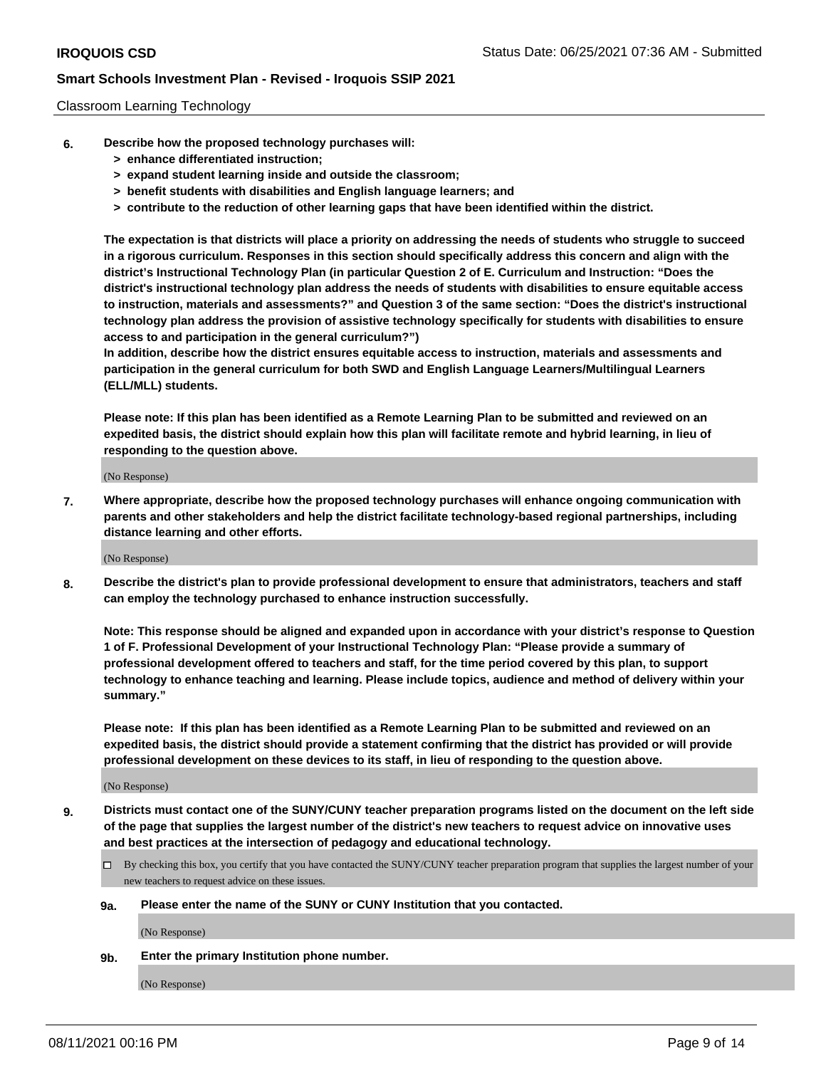#### Classroom Learning Technology

- **6. Describe how the proposed technology purchases will:**
	- **> enhance differentiated instruction;**
	- **> expand student learning inside and outside the classroom;**
	- **> benefit students with disabilities and English language learners; and**
	- **> contribute to the reduction of other learning gaps that have been identified within the district.**

**The expectation is that districts will place a priority on addressing the needs of students who struggle to succeed in a rigorous curriculum. Responses in this section should specifically address this concern and align with the district's Instructional Technology Plan (in particular Question 2 of E. Curriculum and Instruction: "Does the district's instructional technology plan address the needs of students with disabilities to ensure equitable access to instruction, materials and assessments?" and Question 3 of the same section: "Does the district's instructional technology plan address the provision of assistive technology specifically for students with disabilities to ensure access to and participation in the general curriculum?")**

**In addition, describe how the district ensures equitable access to instruction, materials and assessments and participation in the general curriculum for both SWD and English Language Learners/Multilingual Learners (ELL/MLL) students.**

**Please note: If this plan has been identified as a Remote Learning Plan to be submitted and reviewed on an expedited basis, the district should explain how this plan will facilitate remote and hybrid learning, in lieu of responding to the question above.**

(No Response)

**7. Where appropriate, describe how the proposed technology purchases will enhance ongoing communication with parents and other stakeholders and help the district facilitate technology-based regional partnerships, including distance learning and other efforts.**

(No Response)

**8. Describe the district's plan to provide professional development to ensure that administrators, teachers and staff can employ the technology purchased to enhance instruction successfully.**

**Note: This response should be aligned and expanded upon in accordance with your district's response to Question 1 of F. Professional Development of your Instructional Technology Plan: "Please provide a summary of professional development offered to teachers and staff, for the time period covered by this plan, to support technology to enhance teaching and learning. Please include topics, audience and method of delivery within your summary."**

**Please note: If this plan has been identified as a Remote Learning Plan to be submitted and reviewed on an expedited basis, the district should provide a statement confirming that the district has provided or will provide professional development on these devices to its staff, in lieu of responding to the question above.**

(No Response)

- **9. Districts must contact one of the SUNY/CUNY teacher preparation programs listed on the document on the left side of the page that supplies the largest number of the district's new teachers to request advice on innovative uses and best practices at the intersection of pedagogy and educational technology.**
	- By checking this box, you certify that you have contacted the SUNY/CUNY teacher preparation program that supplies the largest number of your new teachers to request advice on these issues.

#### **9a. Please enter the name of the SUNY or CUNY Institution that you contacted.**

(No Response)

**9b. Enter the primary Institution phone number.**

(No Response)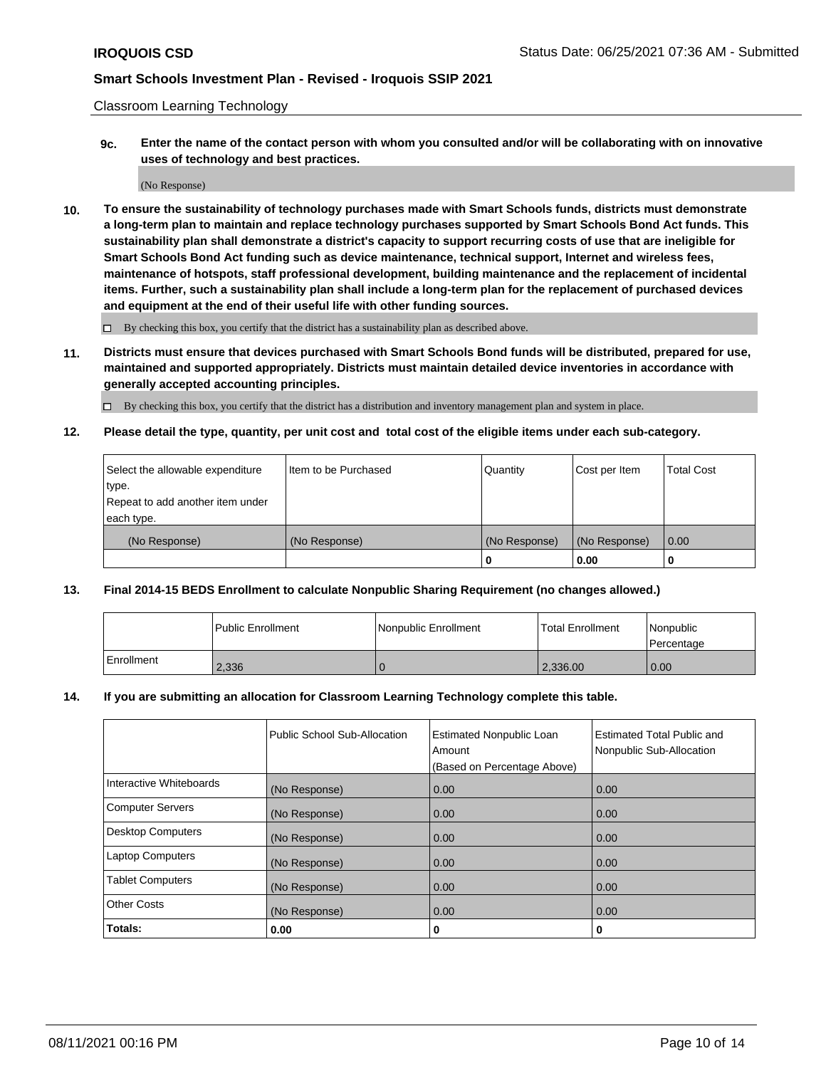Classroom Learning Technology

**9c. Enter the name of the contact person with whom you consulted and/or will be collaborating with on innovative uses of technology and best practices.**

(No Response)

**10. To ensure the sustainability of technology purchases made with Smart Schools funds, districts must demonstrate a long-term plan to maintain and replace technology purchases supported by Smart Schools Bond Act funds. This sustainability plan shall demonstrate a district's capacity to support recurring costs of use that are ineligible for Smart Schools Bond Act funding such as device maintenance, technical support, Internet and wireless fees, maintenance of hotspots, staff professional development, building maintenance and the replacement of incidental items. Further, such a sustainability plan shall include a long-term plan for the replacement of purchased devices and equipment at the end of their useful life with other funding sources.**

 $\square$  By checking this box, you certify that the district has a sustainability plan as described above.

**11. Districts must ensure that devices purchased with Smart Schools Bond funds will be distributed, prepared for use, maintained and supported appropriately. Districts must maintain detailed device inventories in accordance with generally accepted accounting principles.**

By checking this box, you certify that the district has a distribution and inventory management plan and system in place.

**12. Please detail the type, quantity, per unit cost and total cost of the eligible items under each sub-category.**

| Select the allowable expenditure | Item to be Purchased | Quantity      | Cost per Item | <b>Total Cost</b> |
|----------------------------------|----------------------|---------------|---------------|-------------------|
| type.                            |                      |               |               |                   |
| Repeat to add another item under |                      |               |               |                   |
| each type.                       |                      |               |               |                   |
| (No Response)                    | (No Response)        | (No Response) | (No Response) | $\overline{0.00}$ |
|                                  |                      |               | 0.00          |                   |

### **13. Final 2014-15 BEDS Enrollment to calculate Nonpublic Sharing Requirement (no changes allowed.)**

|              | l Public Enrollment | Nonpublic Enrollment | <b>Total Enrollment</b> | <i>Nonpublic</i><br>l Percentage |
|--------------|---------------------|----------------------|-------------------------|----------------------------------|
| l Enrollment | 2,336               |                      | 2,336.00                | 0.00                             |

#### **14. If you are submitting an allocation for Classroom Learning Technology complete this table.**

|                          | Public School Sub-Allocation | <b>Estimated Nonpublic Loan</b><br>Amount | Estimated Total Public and<br>Nonpublic Sub-Allocation |
|--------------------------|------------------------------|-------------------------------------------|--------------------------------------------------------|
|                          |                              | (Based on Percentage Above)               |                                                        |
| Interactive Whiteboards  | (No Response)                | 0.00                                      | 0.00                                                   |
| <b>Computer Servers</b>  | (No Response)                | 0.00                                      | 0.00                                                   |
| <b>Desktop Computers</b> | (No Response)                | 0.00                                      | 0.00                                                   |
| <b>Laptop Computers</b>  | (No Response)                | 0.00                                      | 0.00                                                   |
| <b>Tablet Computers</b>  | (No Response)                | 0.00                                      | 0.00                                                   |
| <b>Other Costs</b>       | (No Response)                | 0.00                                      | 0.00                                                   |
| Totals:                  | 0.00                         | 0                                         | o                                                      |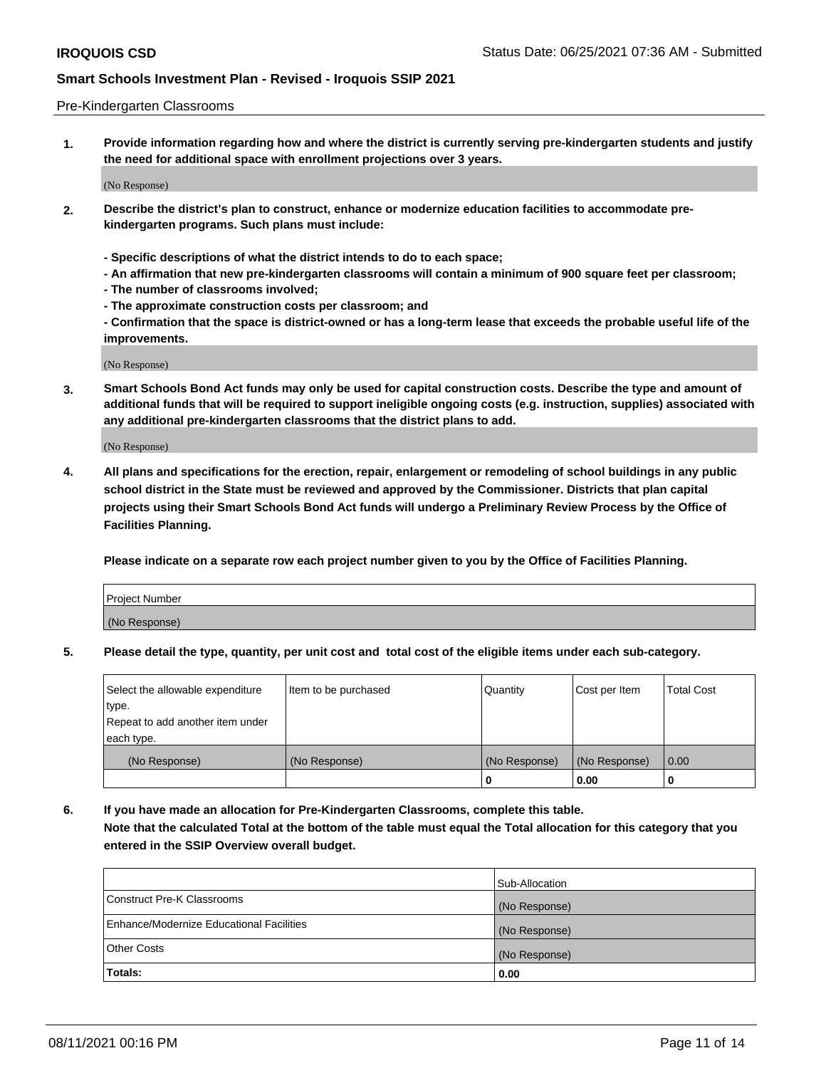#### Pre-Kindergarten Classrooms

**1. Provide information regarding how and where the district is currently serving pre-kindergarten students and justify the need for additional space with enrollment projections over 3 years.**

(No Response)

- **2. Describe the district's plan to construct, enhance or modernize education facilities to accommodate prekindergarten programs. Such plans must include:**
	- **Specific descriptions of what the district intends to do to each space;**
	- **An affirmation that new pre-kindergarten classrooms will contain a minimum of 900 square feet per classroom;**
	- **The number of classrooms involved;**
	- **The approximate construction costs per classroom; and**
	- **Confirmation that the space is district-owned or has a long-term lease that exceeds the probable useful life of the improvements.**

(No Response)

**3. Smart Schools Bond Act funds may only be used for capital construction costs. Describe the type and amount of additional funds that will be required to support ineligible ongoing costs (e.g. instruction, supplies) associated with any additional pre-kindergarten classrooms that the district plans to add.**

(No Response)

**4. All plans and specifications for the erection, repair, enlargement or remodeling of school buildings in any public school district in the State must be reviewed and approved by the Commissioner. Districts that plan capital projects using their Smart Schools Bond Act funds will undergo a Preliminary Review Process by the Office of Facilities Planning.**

**Please indicate on a separate row each project number given to you by the Office of Facilities Planning.**

| Project Number |  |
|----------------|--|
| (No Response)  |  |
|                |  |

**5. Please detail the type, quantity, per unit cost and total cost of the eligible items under each sub-category.**

| Select the allowable expenditure | Item to be purchased | Quantity      | Cost per Item | <b>Total Cost</b> |
|----------------------------------|----------------------|---------------|---------------|-------------------|
| type.                            |                      |               |               |                   |
| Repeat to add another item under |                      |               |               |                   |
| each type.                       |                      |               |               |                   |
| (No Response)                    | (No Response)        | (No Response) | (No Response) | 0.00              |
|                                  |                      | U             | 0.00          |                   |

**6. If you have made an allocation for Pre-Kindergarten Classrooms, complete this table. Note that the calculated Total at the bottom of the table must equal the Total allocation for this category that you entered in the SSIP Overview overall budget.**

| Totals:                                  | 0.00           |
|------------------------------------------|----------------|
| <b>Other Costs</b>                       | (No Response)  |
| Enhance/Modernize Educational Facilities | (No Response)  |
| Construct Pre-K Classrooms               | (No Response)  |
|                                          | Sub-Allocation |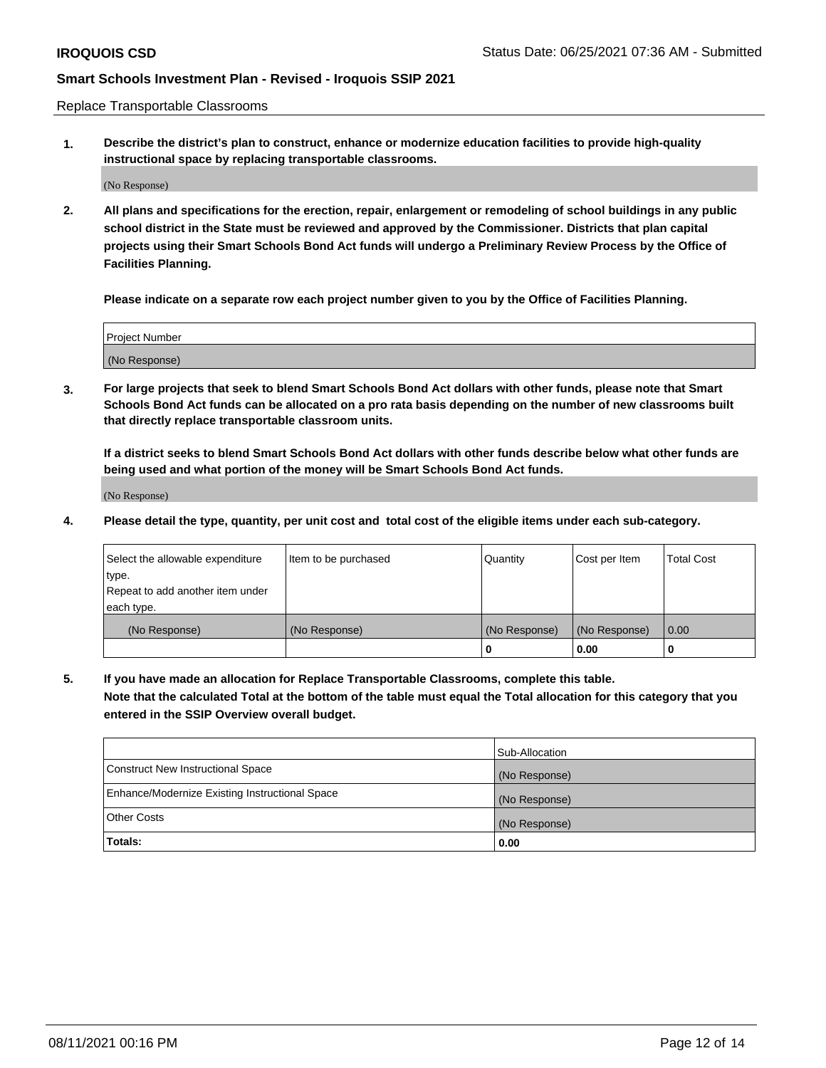Replace Transportable Classrooms

**1. Describe the district's plan to construct, enhance or modernize education facilities to provide high-quality instructional space by replacing transportable classrooms.**

(No Response)

**2. All plans and specifications for the erection, repair, enlargement or remodeling of school buildings in any public school district in the State must be reviewed and approved by the Commissioner. Districts that plan capital projects using their Smart Schools Bond Act funds will undergo a Preliminary Review Process by the Office of Facilities Planning.**

**Please indicate on a separate row each project number given to you by the Office of Facilities Planning.**

| Project Number |  |
|----------------|--|
|                |  |
|                |  |
|                |  |
| (No Response)  |  |
|                |  |
|                |  |

**3. For large projects that seek to blend Smart Schools Bond Act dollars with other funds, please note that Smart Schools Bond Act funds can be allocated on a pro rata basis depending on the number of new classrooms built that directly replace transportable classroom units.**

**If a district seeks to blend Smart Schools Bond Act dollars with other funds describe below what other funds are being used and what portion of the money will be Smart Schools Bond Act funds.**

(No Response)

**4. Please detail the type, quantity, per unit cost and total cost of the eligible items under each sub-category.**

| Select the allowable expenditure | Item to be purchased | Quantity      | Cost per Item | <b>Total Cost</b> |
|----------------------------------|----------------------|---------------|---------------|-------------------|
| ∣type.                           |                      |               |               |                   |
| Repeat to add another item under |                      |               |               |                   |
| each type.                       |                      |               |               |                   |
| (No Response)                    | (No Response)        | (No Response) | (No Response) | 0.00              |
|                                  |                      | 0             | 0.00          |                   |

**5. If you have made an allocation for Replace Transportable Classrooms, complete this table. Note that the calculated Total at the bottom of the table must equal the Total allocation for this category that you entered in the SSIP Overview overall budget.**

|                                                | Sub-Allocation |
|------------------------------------------------|----------------|
| Construct New Instructional Space              | (No Response)  |
| Enhance/Modernize Existing Instructional Space | (No Response)  |
| Other Costs                                    | (No Response)  |
| Totals:                                        | 0.00           |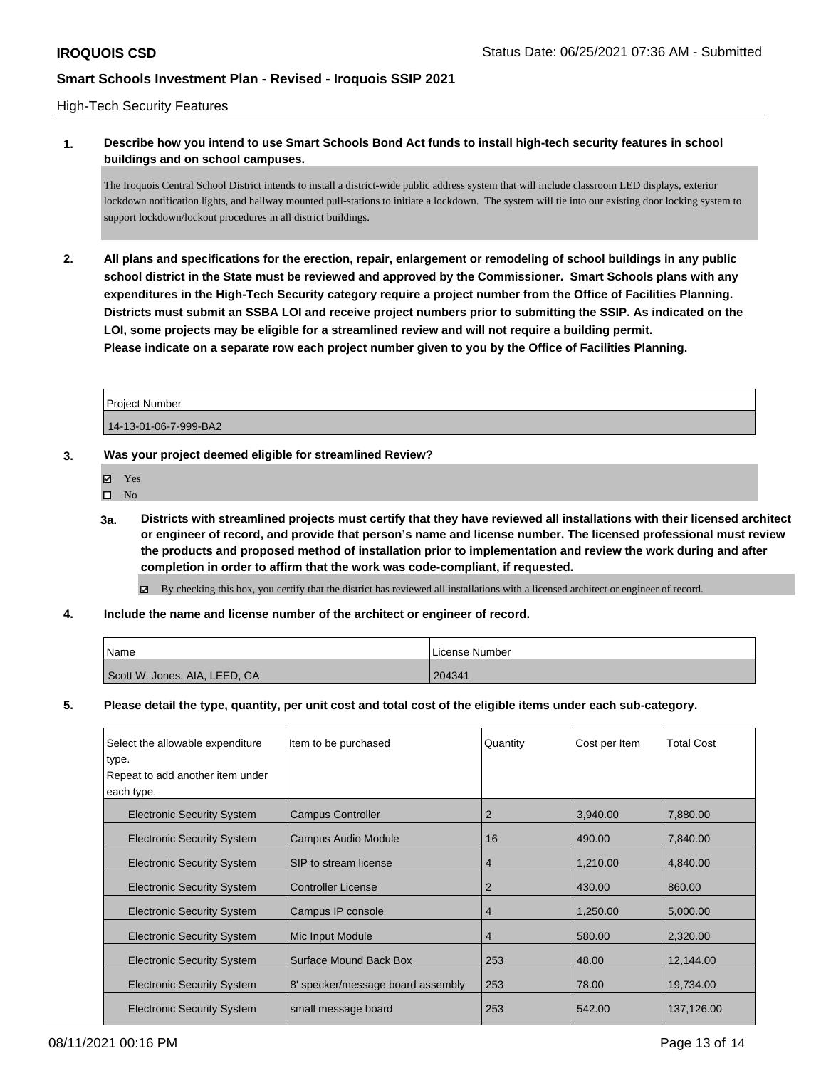### High-Tech Security Features

### **1. Describe how you intend to use Smart Schools Bond Act funds to install high-tech security features in school buildings and on school campuses.**

The Iroquois Central School District intends to install a district-wide public address system that will include classroom LED displays, exterior lockdown notification lights, and hallway mounted pull-stations to initiate a lockdown. The system will tie into our existing door locking system to support lockdown/lockout procedures in all district buildings.

**2. All plans and specifications for the erection, repair, enlargement or remodeling of school buildings in any public school district in the State must be reviewed and approved by the Commissioner. Smart Schools plans with any expenditures in the High-Tech Security category require a project number from the Office of Facilities Planning. Districts must submit an SSBA LOI and receive project numbers prior to submitting the SSIP. As indicated on the LOI, some projects may be eligible for a streamlined review and will not require a building permit. Please indicate on a separate row each project number given to you by the Office of Facilities Planning.**

| <b>Project Number</b> |  |
|-----------------------|--|
| 14-13-01-06-7-999-BA2 |  |

### **3. Was your project deemed eligible for streamlined Review?**

- Yes
- $\hfill \square$  No
- **3a. Districts with streamlined projects must certify that they have reviewed all installations with their licensed architect or engineer of record, and provide that person's name and license number. The licensed professional must review the products and proposed method of installation prior to implementation and review the work during and after completion in order to affirm that the work was code-compliant, if requested.**

By checking this box, you certify that the district has reviewed all installations with a licensed architect or engineer of record.

**4. Include the name and license number of the architect or engineer of record.**

| 'Name                         | License Number |
|-------------------------------|----------------|
| Scott W. Jones, AIA, LEED, GA | 204341         |

**5. Please detail the type, quantity, per unit cost and total cost of the eligible items under each sub-category.**

| Select the allowable expenditure  | Item to be purchased              | Quantity | Cost per Item | <b>Total Cost</b> |
|-----------------------------------|-----------------------------------|----------|---------------|-------------------|
| type.                             |                                   |          |               |                   |
| Repeat to add another item under  |                                   |          |               |                   |
| each type.                        |                                   |          |               |                   |
| <b>Electronic Security System</b> | <b>Campus Controller</b>          | 2        | 3,940.00      | 7,880.00          |
| <b>Electronic Security System</b> | <b>Campus Audio Module</b>        | 16       | 490.00        | 7,840.00          |
| <b>Electronic Security System</b> | SIP to stream license             | 4        | 1,210.00      | 4,840.00          |
| <b>Electronic Security System</b> | <b>Controller License</b>         | 2        | 430.00        | 860.00            |
| <b>Electronic Security System</b> | Campus IP console                 | 4        | 1.250.00      | 5,000.00          |
| <b>Electronic Security System</b> | Mic Input Module                  | 4        | 580.00        | 2,320.00          |
| <b>Electronic Security System</b> | Surface Mound Back Box            | 253      | 48.00         | 12,144.00         |
| <b>Electronic Security System</b> | 8' specker/message board assembly | 253      | 78.00         | 19,734.00         |
| <b>Electronic Security System</b> | small message board               | 253      | 542.00        | 137,126.00        |